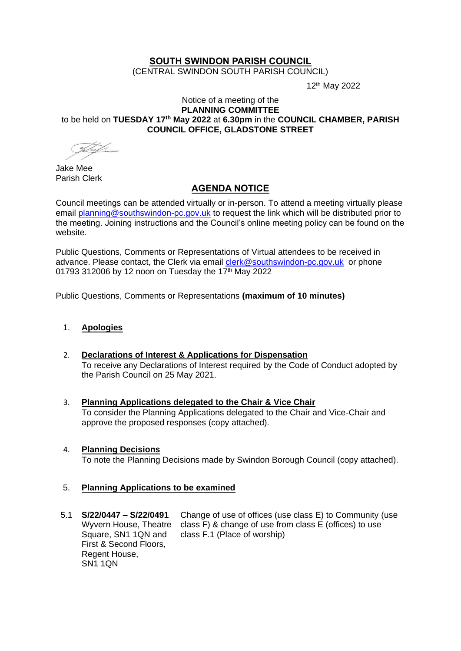# **SOUTH SWINDON PARISH COUNCIL**

(CENTRAL SWINDON SOUTH PARISH COUNCIL)

12th May 2022

#### Notice of a meeting of the **PLANNING COMMITTEE** to be held on **TUESDAY 17th May 2022** at **6.30pm** in the **COUNCIL CHAMBER, PARISH COUNCIL OFFICE, GLADSTONE STREET**

Jake Mee Parish Clerk

# **AGENDA NOTICE**

Council meetings can be attended virtually or in-person. To attend a meeting virtually please email [planning@southswindon-pc.gov.uk](mailto:planning@southswindon-pc.gov.uk) to request the link which will be distributed prior to the meeting. Joining instructions and the Council's online meeting policy can be found on the website.

Public Questions, Comments or Representations of Virtual attendees to be received in advance. Please contact, the Clerk via email [clerk@southswindon-pc.gov.uk](mailto:clerk@southswindon-pc.gov.uk) or phone 01793 312006 by 12 noon on Tuesday the 17th May 2022

Public Questions, Comments or Representations **(maximum of 10 minutes)**

## 1. **Apologies**

- 2. **Declarations of Interest & Applications for Dispensation**  To receive any Declarations of Interest required by the Code of Conduct adopted by the Parish Council on 25 May 2021.
- 3. **Planning Applications delegated to the Chair & Vice Chair** To consider the Planning Applications delegated to the Chair and Vice-Chair and approve the proposed responses (copy attached).

### 4. **Planning Decisions**

To note the Planning Decisions made by Swindon Borough Council (copy attached).

### 5. **Planning Applications to be examined**

5.1 **S/22/0447 – S/22/0491** Wyvern House, Theatre class F) & change of use from class E (offices) to use Square, SN1 1QN and First & Second Floors, Regent House, SN1 1QN Change of use of offices (use class E) to Community (use class F.1 (Place of worship)